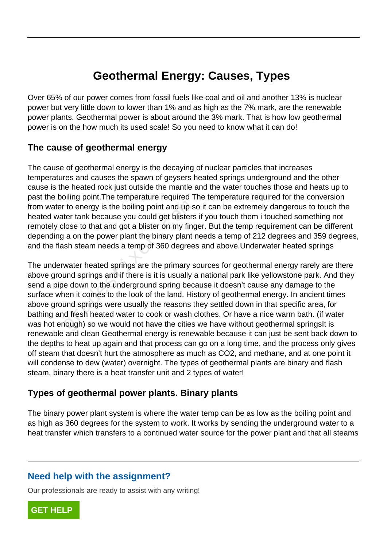# **Geothermal Energy: Causes, Types**

Over 65% of our power comes from fossil fuels like coal and oil and another 13% is nuclear power but very little down to lower than 1% and as high as the 7% mark, are the renewable power plants. Geothermal power is about around the 3% mark. That is how low geothermal power is on the how much its used scale! So you need to know what it can do!

## **The cause of geothermal energy**

The cause of geothermal energy is the decaying of nuclear particles that increases temperatures and causes the spawn of geysers heated springs underground and the other cause is the heated rock just outside the mantle and the water touches those and heats up to past the boiling point.The temperature required The temperature required for the conversion from water to energy is the boiling point and up so it can be extremely dangerous to touch the heated water tank because you could get blisters if you touch them i touched something not remotely close to that and got a blister on my finger. But the temp requirement can be different depending a on the power plant the binary plant needs a temp of 212 degrees and 359 degrees, and the flash steam needs a temp of 360 degrees and above.Underwater heated springs

The underwater heated springs are the primary sources for geothermal energy rarely are there above ground springs and if there is it is usually a national park like yellowstone park. And they send a pipe down to the underground spring because it doesn't cause any damage to the surface when it comes to the look of the land. History of geothermal energy. In ancient times above ground springs were usually the reasons they settled down in that specific area, for bathing and fresh heated water to cook or wash clothes. Or have a nice warm bath. (if water was hot enough) so we would not have the cities we have without geothermal springsIt is renewable and clean Geothermal energy is renewable because it can just be sent back down to the depths to heat up again and that process can go on a long time, and the process only gives off steam that doesn't hurt the atmosphere as much as CO2, and methane, and at one point it will condense to dew (water) overnight. The types of geothermal plants are binary and flash steam, binary there is a heat transfer unit and 2 types of water! To energy is the boiling point and up s<br>ter tank because you could get blisters<br>lose to that and got a blister on my fing<br>a on the power plant the binary plant r<br>sh steam needs a temp of 360 degrees<br>water heated springs ar

### **Types of geothermal power plants. Binary plants**

The binary power plant system is where the water temp can be as low as the boiling point and as high as 360 degrees for the system to work. It works by sending the underground water to a heat transfer which transfers to a continued water source for the power plant and that all steams

## **Need help with the assignment?**

Our professionals are ready to assist with any writing!